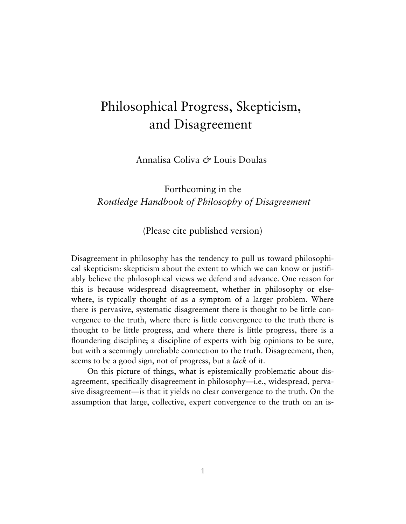# Philosophical Progress, Skepticism, and Disagreement

Annalisa Coliva *&* Louis Doulas

# Forthcoming in the *Routledge Handbook of Philosophy of Disagreement*

(Please cite published version)

Disagreement in philosophy has the tendency to pull us toward philosophical skepticism: skepticism about the extent to which we can know or justifiably believe the philosophical views we defend and advance. One reason for this is because widespread disagreement, whether in philosophy or elsewhere, is typically thought of as a symptom of a larger problem. Where there is pervasive, systematic disagreement there is thought to be little convergence to the truth, where there is little convergence to the truth there is thought to be little progress, and where there is little progress, there is a floundering discipline; a discipline of experts with big opinions to be sure, but with a seemingly unreliable connection to the truth. Disagreement, then, seems to be a good sign, not of progress, but a *lack* of it.

On this picture of things, what is epistemically problematic about disagreement, specifically disagreement in philosophy—i.e., widespread, pervasive disagreement—is that it yields no clear convergence to the truth. On the assumption that large, collective, expert convergence to the truth on an is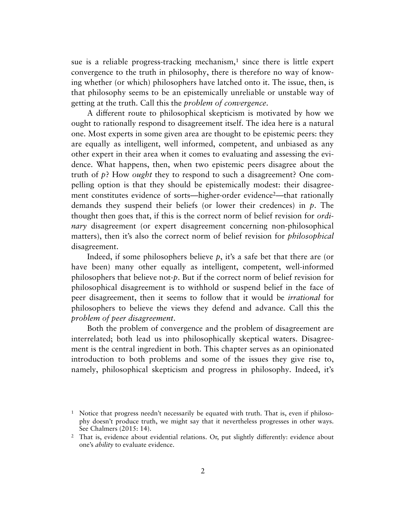sue is a reliable progress-tracking mechanism,[1](#page-1-0) since there is little expert convergence to the truth in philosophy, there is therefore no way of knowing whether (or which) philosophers have latched onto it. The issue, then, is that philosophy seems to be an epistemically unreliable or unstable way of getting at the truth. Call this the *problem of convergence*.

A different route to philosophical skepticism is motivated by how we ought to rationally respond to disagreement itself. The idea here is a natural one. Most experts in some given area are thought to be epistemic peers: they are equally as intelligent, well informed, competent, and unbiased as any other expert in their area when it comes to evaluating and assessing the evidence. What happens, then, when two epistemic peers disagree about the truth of *p*? How *ought* they to respond to such a disagreement? One compelling option is that they should be epistemically modest: their disagree-ment constitutes evidence of sorts—higher-order evidence<sup>[2](#page-1-1)</sup>—that rationally demands they suspend their beliefs (or lower their credences) in *p*. The thought then goes that, if this is the correct norm of belief revision for *ordinary* disagreement (or expert disagreement concerning non-philosophical matters), then it's also the correct norm of belief revision for *philosophical* disagreement.

Indeed, if some philosophers believe *p*, it's a safe bet that there are (or have been) many other equally as intelligent, competent, well-informed philosophers that believe not-*p*. But if the correct norm of belief revision for philosophical disagreement is to withhold or suspend belief in the face of peer disagreement, then it seems to follow that it would be *irrational* for philosophers to believe the views they defend and advance. Call this the *problem of peer disagreement*.

Both the problem of convergence and the problem of disagreement are interrelated; both lead us into philosophically skeptical waters. Disagreement is the central ingredient in both. This chapter serves as an opinionated introduction to both problems and some of the issues they give rise to, namely, philosophical skepticism and progress in philosophy. Indeed, it's

<span id="page-1-0"></span><sup>&</sup>lt;sup>1</sup> Notice that progress needn't necessarily be equated with truth. That is, even if philosophy doesn't produce truth, we might say that it nevertheless progresses in other ways. See Chalmers (2015: 14).

<span id="page-1-1"></span><sup>&</sup>lt;sup>2</sup> That is, evidence about evidential relations. Or, put slightly differently: evidence about one's *ability* to evaluate evidence.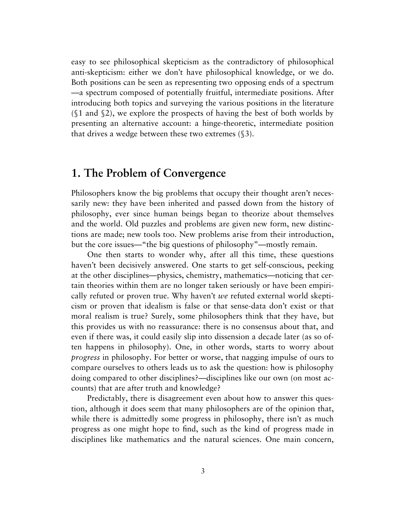easy to see philosophical skepticism as the contradictory of philosophical anti-skepticism: either we don't have philosophical knowledge, or we do. Both positions can be seen as representing two opposing ends of a spectrum —a spectrum composed of potentially fruitful, intermediate positions. After introducing both topics and surveying the various positions in the literature (§1 and §2), we explore the prospects of having the best of both worlds by presenting an alternative account: a hinge-theoretic, intermediate position that drives a wedge between these two extremes (§3).

# **1. The Problem of Convergence**

Philosophers know the big problems that occupy their thought aren't necessarily new: they have been inherited and passed down from the history of philosophy, ever since human beings began to theorize about themselves and the world. Old puzzles and problems are given new form, new distinctions are made; new tools too. New problems arise from their introduction, but the core issues—"the big questions of philosophy"—mostly remain.

One then starts to wonder why, after all this time, these questions haven't been decisively answered. One starts to get self-conscious, peeking at the other disciplines—physics, chemistry, mathematics—noticing that certain theories within them are no longer taken seriously or have been empirically refuted or proven true. Why haven't *we* refuted external world skepticism or proven that idealism is false or that sense-data don't exist or that moral realism is true? Surely, some philosophers think that they have, but this provides us with no reassurance: there is no consensus about that, and even if there was, it could easily slip into dissension a decade later (as so often happens in philosophy). One, in other words, starts to worry about *progress* in philosophy. For better or worse, that nagging impulse of ours to compare ourselves to others leads us to ask the question: how is philosophy doing compared to other disciplines?—disciplines like our own (on most accounts) that are after truth and knowledge?

Predictably, there is disagreement even about how to answer this question, although it does seem that many philosophers are of the opinion that, while there is admittedly some progress in philosophy, there isn't as much progress as one might hope to find, such as the kind of progress made in disciplines like mathematics and the natural sciences. One main concern,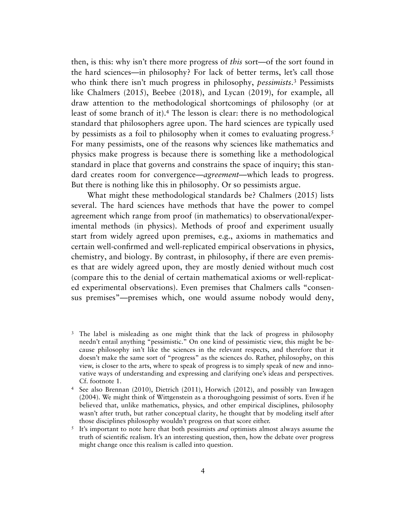then, is this: why isn't there more progress of *this* sort—of the sort found in the hard sciences—in philosophy? For lack of better terms, let's call those who think there isn't much progress in philosophy, *pessimists*.[3](#page-3-0) Pessimists like Chalmers (2015), Beebee (2018), and Lycan (2019), for example, all draw attention to the methodological shortcomings of philosophy (or at least of some branch of it).[4](#page-3-1) The lesson is clear: there is no methodological standard that philosophers agree upon. The hard sciences are typically used by pessimists as a foil to philosophy when it comes to evaluating progress[.5](#page-3-2) For many pessimists, one of the reasons why sciences like mathematics and physics make progress is because there is something like a methodological standard in place that governs and constrains the space of inquiry; this standard creates room for convergence—*agreement*—which leads to progress. But there is nothing like this in philosophy. Or so pessimists argue.

What might these methodological standards be? Chalmers (2015) lists several. The hard sciences have methods that have the power to compel agreement which range from proof (in mathematics) to observational/experimental methods (in physics). Methods of proof and experiment usually start from widely agreed upon premises, e.g., axioms in mathematics and certain well-confirmed and well-replicated empirical observations in physics, chemistry, and biology. By contrast, in philosophy, if there are even premises that are widely agreed upon, they are mostly denied without much cost (compare this to the denial of certain mathematical axioms or well-replicated experimental observations). Even premises that Chalmers calls "consensus premises"—premises which, one would assume nobody would deny,

<span id="page-3-0"></span><sup>3</sup> The label is misleading as one might think that the lack of progress in philosophy needn't entail anything "pessimistic." On one kind of pessimistic view, this might be because philosophy isn't like the sciences in the relevant respects, and therefore that it doesn't make the same sort of "progress" as the sciences do. Rather, philosophy, on this view, is closer to the arts, where to speak of progress is to simply speak of new and innovative ways of understanding and expressing and clarifying one's ideas and perspectives. Cf. footnote 1.

<span id="page-3-1"></span><sup>4</sup> See also Brennan (2010), Dietrich (2011), Horwich (2012), and possibly van Inwagen (2004). We might think of Wittgenstein as a thoroughgoing pessimist of sorts. Even if he believed that, unlike mathematics, physics, and other empirical disciplines, philosophy wasn't after truth, but rather conceptual clarity, he thought that by modeling itself after those disciplines philosophy wouldn't progress on that score either.

<span id="page-3-2"></span><sup>5</sup> It's important to note here that both pessimists *and* optimists almost always assume the truth of scientific realism. It's an interesting question, then, how the debate over progress might change once this realism is called into question.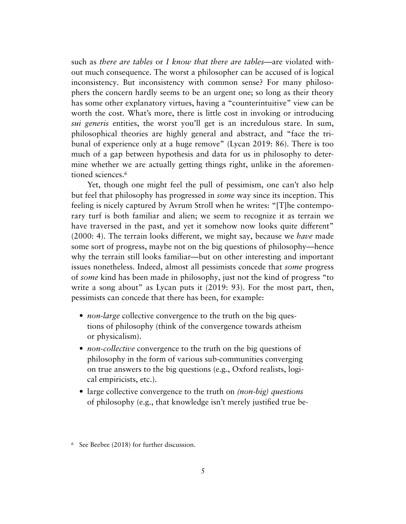such as *there are tables* or *I know that there are tables*—are violated without much consequence. The worst a philosopher can be accused of is logical inconsistency. But inconsistency with common sense? For many philosophers the concern hardly seems to be an urgent one; so long as their theory has some other explanatory virtues, having a "counterintuitive" view can be worth the cost. What's more, there is little cost in invoking or introducing *sui generis* entities, the worst you'll get is an incredulous stare. In sum, philosophical theories are highly general and abstract, and "face the tribunal of experience only at a huge remove" (Lycan 2019: 86). There is too much of a gap between hypothesis and data for us in philosophy to determine whether we are actually getting things right, unlike in the aforemen-tioned sciences.<sup>[6](#page-4-0)</sup>

Yet, though one might feel the pull of pessimism, one can't also help but feel that philosophy has progressed in *some* way since its inception. This feeling is nicely captured by Avrum Stroll when he writes: "[T]he contemporary turf is both familiar and alien; we seem to recognize it as terrain we have traversed in the past, and yet it somehow now looks quite different" (2000: 4). The terrain looks different, we might say, because we *have* made some sort of progress, maybe not on the big questions of philosophy—hence why the terrain still looks familiar—but on other interesting and important issues nonetheless. Indeed, almost all pessimists concede that *some* progress of *some* kind has been made in philosophy, just not the kind of progress "to write a song about" as Lycan puts it (2019: 93). For the most part, then, pessimists can concede that there has been, for example:

- *non-large* collective convergence to the truth on the big questions of philosophy (think of the convergence towards atheism or physicalism).
- *non-collective* convergence to the truth on the big questions of philosophy in the form of various sub-communities converging on true answers to the big questions (e.g., Oxford realists, logical empiricists, etc.).
- large collective convergence to the truth on *(non-big) questions* of philosophy (e.g., that knowledge isn't merely justified true be-

<span id="page-4-0"></span><sup>6</sup> See Beebee (2018) for further discussion.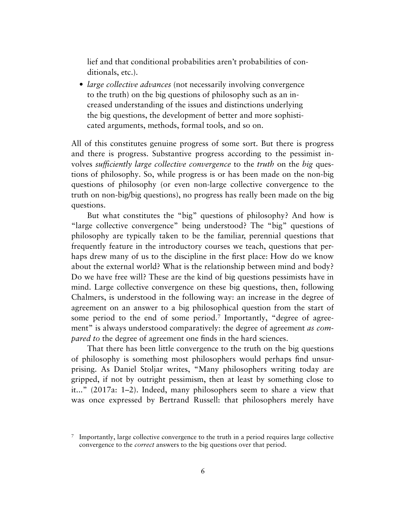lief and that conditional probabilities aren't probabilities of conditionals, etc.).

• *large collective advances* (not necessarily involving convergence to the truth) on the big questions of philosophy such as an increased understanding of the issues and distinctions underlying the big questions, the development of better and more sophisticated arguments, methods, formal tools, and so on.

All of this constitutes genuine progress of some sort. But there is progress and there is progress. Substantive progress according to the pessimist involves *sufficiently large collective convergence* to the *truth* on the *big* questions of philosophy. So, while progress is or has been made on the non-big questions of philosophy (or even non-large collective convergence to the truth on non-big/big questions), no progress has really been made on the big questions.

But what constitutes the "big" questions of philosophy? And how is "large collective convergence" being understood? The "big" questions of philosophy are typically taken to be the familiar, perennial questions that frequently feature in the introductory courses we teach, questions that perhaps drew many of us to the discipline in the first place: How do we know about the external world? What is the relationship between mind and body? Do we have free will? These are the kind of big questions pessimists have in mind. Large collective convergence on these big questions, then, following Chalmers, is understood in the following way: an increase in the degree of agreement on an answer to a big philosophical question from the start of some period to the end of some period.<sup>7</sup> Importantly, "degree of agreement" is always understood comparatively: the degree of agreement *as compared to* the degree of agreement one finds in the hard sciences.

That there has been little convergence to the truth on the big questions of philosophy is something most philosophers would perhaps find unsurprising. As Daniel Stoljar writes, "Many philosophers writing today are gripped, if not by outright pessimism, then at least by something close to it..." (2017a: 1–2). Indeed, many philosophers seem to share a view that was once expressed by Bertrand Russell: that philosophers merely have

<span id="page-5-0"></span><sup>7</sup> Importantly, large collective convergence to the truth in a period requires large collective convergence to the *correct* answers to the big questions over that period.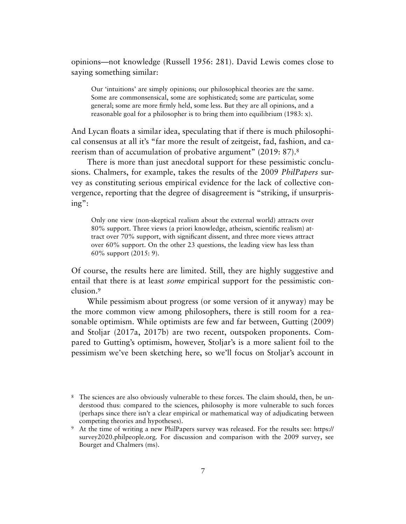opinions—not knowledge (Russell 1956: 281). David Lewis comes close to saying something similar:

Our 'intuitions' are simply opinions; our philosophical theories are the same. Some are commonsensical, some are sophisticated; some are particular, some general; some are more firmly held, some less. But they are all opinions, and a reasonable goal for a philosopher is to bring them into equilibrium (1983: x).

And Lycan floats a similar idea, speculating that if there is much philosophical consensus at all it's "far more the result of zeitgeist, fad, fashion, and ca-reerism than of accumulation of probative argument" (2019: [8](#page-6-0)7).<sup>8</sup>

There is more than just anecdotal support for these pessimistic conclusions. Chalmers, for example, takes the results of the 2009 *PhilPapers* survey as constituting serious empirical evidence for the lack of collective convergence, reporting that the degree of disagreement is "striking, if unsurprising":

Only one view (non-skeptical realism about the external world) attracts over 80% support. Three views (a priori knowledge, atheism, scientific realism) attract over 70% support, with significant dissent, and three more views attract over 60% support. On the other 23 questions, the leading view has less than 60% support (2015: 9).

Of course, the results here are limited. Still, they are highly suggestive and entail that there is at least *some* empirical support for the pessimistic conclusion.[9](#page-6-1)

While pessimism about progress (or some version of it anyway) may be the more common view among philosophers, there is still room for a reasonable optimism. While optimists are few and far between, Gutting (2009) and Stoljar (2017a, 2017b) are two recent, outspoken proponents. Compared to Gutting's optimism, however, Stoljar's is a more salient foil to the pessimism we've been sketching here, so we'll focus on Stoljar's account in

<span id="page-6-0"></span><sup>8</sup> The sciences are also obviously vulnerable to these forces. The claim should, then, be understood thus: compared to the sciences, philosophy is more vulnerable to such forces (perhaps since there isn't a clear empirical or mathematical way of adjudicating between competing theories and hypotheses).

<span id="page-6-1"></span><sup>9</sup> At the time of writing a new PhilPapers survey was released. For the results see: https:// survey2020.philpeople.org. For discussion and comparison with the 2009 survey, see Bourget and Chalmers (ms).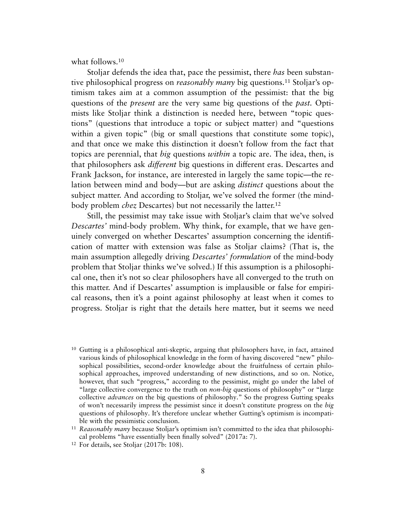what follows[.10](#page-7-0)

Stoljar defends the idea that, pace the pessimist, there *has* been substantive philosophical progress on *reasonably many* big questions[.11](#page-7-1) Stoljar's optimism takes aim at a common assumption of the pessimist: that the big questions of the *present* are the very same big questions of the *past.* Optimists like Stoljar think a distinction is needed here, between "topic questions" (questions that introduce a topic or subject matter) and "questions within a given topic" (big or small questions that constitute some topic), and that once we make this distinction it doesn't follow from the fact that topics are perennial, that *big* questions *within* a topic are. The idea, then, is that philosophers ask *different* big questions in different eras. Descartes and Frank Jackson, for instance, are interested in largely the same topic—the relation between mind and body—but are asking *distinct* questions about the subject matter. And according to Stoljar, we've solved the former (the mindbody problem *chez* Descartes) but not necessarily the latter.[12](#page-7-2)

Still, the pessimist may take issue with Stoljar's claim that we've solved *Descartes'* mind-body problem. Why think, for example, that we have genuinely converged on whether Descartes' assumption concerning the identification of matter with extension was false as Stoljar claims? (That is, the main assumption allegedly driving *Descartes' formulation* of the mind-body problem that Stoljar thinks we've solved.) If this assumption is a philosophical one, then it's not so clear philosophers have all converged to the truth on this matter. And if Descartes' assumption is implausible or false for empirical reasons, then it's a point against philosophy at least when it comes to progress. Stoljar is right that the details here matter, but it seems we need

<span id="page-7-0"></span> $10$  Gutting is a philosophical anti-skeptic, arguing that philosophers have, in fact, attained various kinds of philosophical knowledge in the form of having discovered "new" philosophical possibilities, second-order knowledge about the fruitfulness of certain philosophical approaches, improved understanding of new distinctions, and so on. Notice, however, that such "progress," according to the pessimist, might go under the label of "large collective convergence to the truth on *non-big* questions of philosophy" or "large collective *advances* on the big questions of philosophy." So the progress Gutting speaks of won't necessarily impress the pessimist since it doesn't constitute progress on the *big* questions of philosophy. It's therefore unclear whether Gutting's optimism is incompatible with the pessimistic conclusion.

<span id="page-7-1"></span><sup>11</sup> *Reasonably many* because Stoljar's optimism isn't committed to the idea that philosophical problems "have essentially been finally solved" (2017a: 7).

<span id="page-7-2"></span><sup>12</sup> For details, see Stoljar (2017b: 108).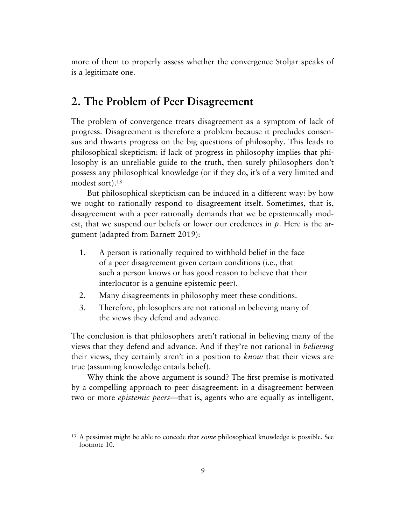more of them to properly assess whether the convergence Stoljar speaks of is a legitimate one.

# **2. The Problem of Peer Disagreement**

The problem of convergence treats disagreement as a symptom of lack of progress. Disagreement is therefore a problem because it precludes consensus and thwarts progress on the big questions of philosophy. This leads to philosophical skepticism: if lack of progress in philosophy implies that philosophy is an unreliable guide to the truth, then surely philosophers don't possess any philosophical knowledge (or if they do, it's of a very limited and modest sort)[.13](#page-8-0)

But philosophical skepticism can be induced in a different way: by how we ought to rationally respond to disagreement itself. Sometimes, that is, disagreement with a peer rationally demands that we be epistemically modest, that we suspend our beliefs or lower our credences in *p*. Here is the argument (adapted from Barnett 2019):

- 1. A person is rationally required to withhold belief in the face of a peer disagreement given certain conditions (i.e., that such a person knows or has good reason to believe that their interlocutor is a genuine epistemic peer).
- 2. Many disagreements in philosophy meet these conditions.
- 3. Therefore, philosophers are not rational in believing many of the views they defend and advance.

The conclusion is that philosophers aren't rational in believing many of the views that they defend and advance. And if they're not rational in *believing* their views, they certainly aren't in a position to *know* that their views are true (assuming knowledge entails belief).

Why think the above argument is sound? The first premise is motivated by a compelling approach to peer disagreement: in a disagreement between two or more *epistemic peers*—that is, agents who are equally as intelligent,

<span id="page-8-0"></span><sup>13</sup> A pessimist might be able to concede that *some* philosophical knowledge is possible. See footnote 10.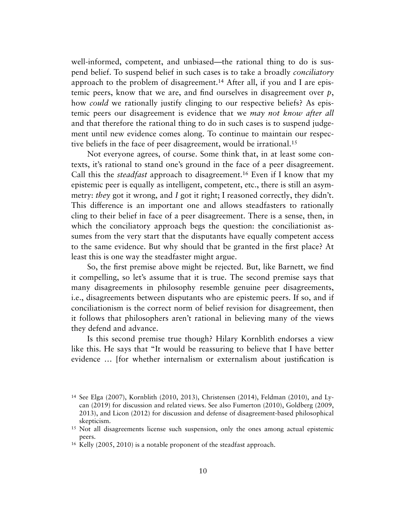well-informed, competent, and unbiased—the rational thing to do is suspend belief. To suspend belief in such cases is to take a broadly *conciliatory* approach to the problem of disagreement.[14](#page-9-0) After all, if you and I are epistemic peers, know that we are, and find ourselves in disagreement over *p*, how *could* we rationally justify clinging to our respective beliefs? As epistemic peers our disagreement is evidence that we *may not know after all* and that therefore the rational thing to do in such cases is to suspend judgement until new evidence comes along. To continue to maintain our respective beliefs in the face of peer disagreement, would be irrational.[15](#page-9-1)

Not everyone agrees, of course. Some think that, in at least some contexts, it's rational to stand one's ground in the face of a peer disagreement. Call this the *steadfast* approach to disagreement.[16](#page-9-2) Even if I know that my epistemic peer is equally as intelligent, competent, etc., there is still an asymmetry: *they* got it wrong, and *I* got it right; I reasoned correctly, they didn't. This difference is an important one and allows steadfasters to rationally cling to their belief in face of a peer disagreement. There is a sense, then, in which the conciliatory approach begs the question: the conciliationist assumes from the very start that the disputants have equally competent access to the same evidence. But why should that be granted in the first place? At least this is one way the steadfaster might argue.

So, the first premise above might be rejected. But, like Barnett, we find it compelling, so let's assume that it is true. The second premise says that many disagreements in philosophy resemble genuine peer disagreements, i.e., disagreements between disputants who are epistemic peers. If so, and if conciliationism is the correct norm of belief revision for disagreement, then it follows that philosophers aren't rational in believing many of the views they defend and advance.

Is this second premise true though? Hilary Kornblith endorses a view like this. He says that "It would be reassuring to believe that I have better evidence … [for whether internalism or externalism about justification is

<span id="page-9-0"></span><sup>14</sup> See Elga (2007), Kornblith (2010, 2013), Christensen (2014), Feldman (2010), and Lycan (2019) for discussion and related views. See also Fumerton (2010), Goldberg (2009, 2013), and Licon (2012) for discussion and defense of disagreement-based philosophical skepticism.

<span id="page-9-1"></span><sup>&</sup>lt;sup>15</sup> Not all disagreements license such suspension, only the ones among actual epistemic peers.

<span id="page-9-2"></span><sup>16</sup> Kelly (2005, 2010) is a notable proponent of the steadfast approach.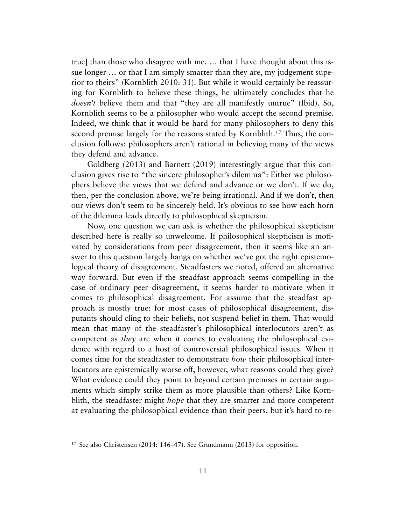true] than those who disagree with me. … that I have thought about this issue longer … or that I am simply smarter than they are, my judgement superior to theirs" (Kornblith 2010: 31). But while it would certainly be reassuring for Kornblith to believe these things, he ultimately concludes that he *doesn't* believe them and that "they are all manifestly untrue" (Ibid). So, Kornblith seems to be a philosopher who would accept the second premise. Indeed, we think that it would be hard for many philosophers to deny this second premise largely for the reasons stated by Kornblith[.17](#page-10-0) Thus, the conclusion follows: philosophers aren't rational in believing many of the views they defend and advance.

Goldberg (2013) and Barnett (2019) interestingly argue that this conclusion gives rise to "the sincere philosopher's dilemma": Either we philosophers believe the views that we defend and advance or we don't. If we do, then, per the conclusion above, we're being irrational. And if we don't, then our views don't seem to be sincerely held. It's obvious to see how each horn of the dilemma leads directly to philosophical skepticism.

Now, one question we can ask is whether the philosophical skepticism described here is really so unwelcome. If philosophical skepticism is motivated by considerations from peer disagreement, then it seems like an answer to this question largely hangs on whether we've got the right epistemological theory of disagreement. Steadfasters we noted, offered an alternative way forward. But even if the steadfast approach seems compelling in the case of ordinary peer disagreement, it seems harder to motivate when it comes to philosophical disagreement. For assume that the steadfast approach is mostly true: for most cases of philosophical disagreement, disputants should cling to their beliefs, not suspend belief in them. That would mean that many of the steadfaster's philosophical interlocutors aren't as competent as *they* are when it comes to evaluating the philosophical evidence with regard to a host of controversial philosophical issues. When it comes time for the steadfaster to demonstrate *how* their philosophical interlocutors are epistemically worse off, however, what reasons could they give? What evidence could they point to beyond certain premises in certain arguments which simply strike them as more plausible than others? Like Kornblith, the steadfaster might *hope* that they are smarter and more competent at evaluating the philosophical evidence than their peers, but it's hard to re-

<span id="page-10-0"></span><sup>17</sup> See also Christensen (2014: 146–47). See Grundmann (2013) for opposition.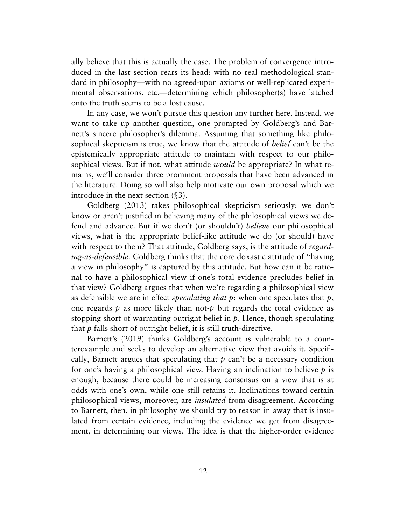ally believe that this is actually the case. The problem of convergence introduced in the last section rears its head: with no real methodological standard in philosophy—with no agreed-upon axioms or well-replicated experimental observations, etc.—determining which philosopher(s) have latched onto the truth seems to be a lost cause.

In any case, we won't pursue this question any further here. Instead, we want to take up another question, one prompted by Goldberg's and Barnett's sincere philosopher's dilemma. Assuming that something like philosophical skepticism is true, we know that the attitude of *belief* can't be the epistemically appropriate attitude to maintain with respect to our philosophical views. But if not, what attitude *would* be appropriate? In what remains, we'll consider three prominent proposals that have been advanced in the literature. Doing so will also help motivate our own proposal which we introduce in the next section (§3).

Goldberg (2013) takes philosophical skepticism seriously: we don't know or aren't justified in believing many of the philosophical views we defend and advance. But if we don't (or shouldn't) *believe* our philosophical views, what is the appropriate belief-like attitude we do (or should) have with respect to them? That attitude, Goldberg says, is the attitude of *regarding-as-defensible*. Goldberg thinks that the core doxastic attitude of "having a view in philosophy" is captured by this attitude. But how can it be rational to have a philosophical view if one's total evidence precludes belief in that view? Goldberg argues that when we're regarding a philosophical view as defensible we are in effect *speculating that p*: when one speculates that *p*, one regards *p* as more likely than not-*p* but regards the total evidence as stopping short of warranting outright belief in *p*. Hence, though speculating that *p* falls short of outright belief, it is still truth-directive.

Barnett's (2019) thinks Goldberg's account is vulnerable to a counterexample and seeks to develop an alternative view that avoids it. Specifically, Barnett argues that speculating that  $p$  can't be a necessary condition for one's having a philosophical view. Having an inclination to believe *p* is enough, because there could be increasing consensus on a view that is at odds with one's own, while one still retains it. Inclinations toward certain philosophical views, moreover, are *insulated* from disagreement. According to Barnett, then, in philosophy we should try to reason in away that is insulated from certain evidence, including the evidence we get from disagreement, in determining our views. The idea is that the higher-order evidence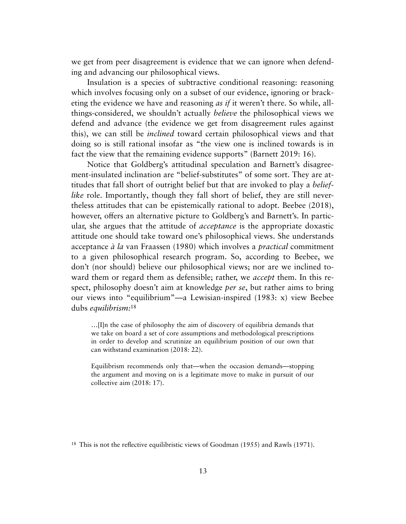we get from peer disagreement is evidence that we can ignore when defending and advancing our philosophical views.

Insulation is a species of subtractive conditional reasoning: reasoning which involves focusing only on a subset of our evidence, ignoring or bracketing the evidence we have and reasoning *as if* it weren't there. So while, allthings-considered, we shouldn't actually *believe* the philosophical views we defend and advance (the evidence we get from disagreement rules against this), we can still be *inclined* toward certain philosophical views and that doing so is still rational insofar as "the view one is inclined towards is in fact the view that the remaining evidence supports" (Barnett 2019: 16).

Notice that Goldberg's attitudinal speculation and Barnett's disagreement-insulated inclination are "belief-substitutes" of some sort. They are attitudes that fall short of outright belief but that are invoked to play a *belieflike* role. Importantly, though they fall short of belief, they are still nevertheless attitudes that can be epistemically rational to adopt. Beebee (2018), however, offers an alternative picture to Goldberg's and Barnett's. In particular, she argues that the attitude of *acceptance* is the appropriate doxastic attitude one should take toward one's philosophical views. She understands acceptance *à la* van Fraassen (1980) which involves a *practical* commitment to a given philosophical research program. So, according to Beebee, we don't (nor should) believe our philosophical views; nor are we inclined toward them or regard them as defensible; rather, we *accept* them. In this respect, philosophy doesn't aim at knowledge *per se*, but rather aims to bring our views into "equilibrium"—a Lewisian-inspired (1983: x) view Beebee dubs *equilibrism:*[18](#page-12-0)

…[I]n the case of philosophy the aim of discovery of equilibria demands that we take on board a set of core assumptions and methodological prescriptions in order to develop and scrutinize an equilibrium position of our own that can withstand examination (2018: 22).

Equilibrism recommends only that—when the occasion demands—stopping the argument and moving on is a legitimate move to make in pursuit of our collective aim (2018: 17).

<span id="page-12-0"></span><sup>18</sup> This is not the reflective equilibristic views of Goodman (1955) and Rawls (1971).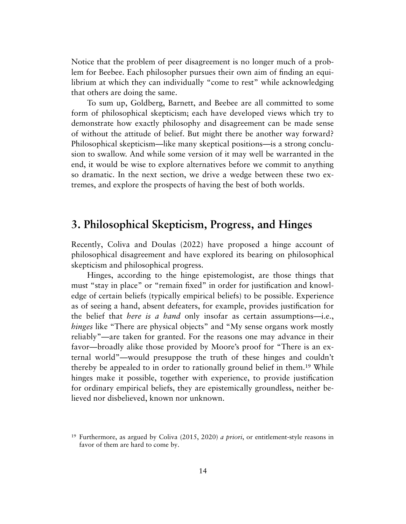Notice that the problem of peer disagreement is no longer much of a problem for Beebee. Each philosopher pursues their own aim of finding an equilibrium at which they can individually "come to rest" while acknowledging that others are doing the same.

To sum up, Goldberg, Barnett, and Beebee are all committed to some form of philosophical skepticism; each have developed views which try to demonstrate how exactly philosophy and disagreement can be made sense of without the attitude of belief. But might there be another way forward? Philosophical skepticism—like many skeptical positions—is a strong conclusion to swallow. And while some version of it may well be warranted in the end, it would be wise to explore alternatives before we commit to anything so dramatic. In the next section, we drive a wedge between these two extremes, and explore the prospects of having the best of both worlds.

#### **3. Philosophical Skepticism, Progress, and Hinges**

Recently, Coliva and Doulas (2022) have proposed a hinge account of philosophical disagreement and have explored its bearing on philosophical skepticism and philosophical progress.

Hinges, according to the hinge epistemologist, are those things that must "stay in place" or "remain fixed" in order for justification and knowledge of certain beliefs (typically empirical beliefs) to be possible. Experience as of seeing a hand, absent defeaters, for example, provides justification for the belief that *here is a hand* only insofar as certain assumptions—i.e., *hinges* like "There are physical objects" and "My sense organs work mostly reliably"—are taken for granted. For the reasons one may advance in their favor—broadly alike those provided by Moore's proof for "There is an external world"—would presuppose the truth of these hinges and couldn't thereby be appealed to in order to rationally ground belief in them[.19](#page-13-0) While hinges make it possible, together with experience, to provide justification for ordinary empirical beliefs, they are epistemically groundless, neither believed nor disbelieved, known nor unknown.

<span id="page-13-0"></span><sup>19</sup> Furthermore, as argued by Coliva (2015, 2020) *a priori*, or entitlement-style reasons in favor of them are hard to come by.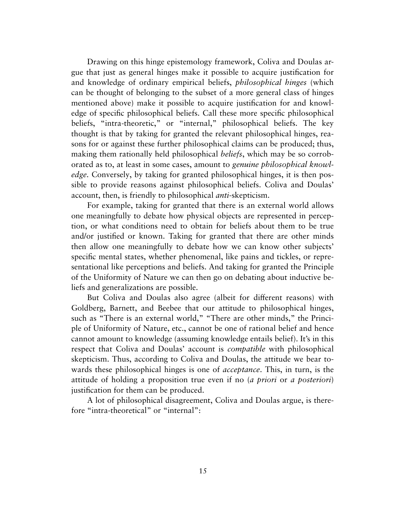Drawing on this hinge epistemology framework, Coliva and Doulas argue that just as general hinges make it possible to acquire justification for and knowledge of ordinary empirical beliefs, *philosophical hinges* (which can be thought of belonging to the subset of a more general class of hinges mentioned above) make it possible to acquire justification for and knowledge of specific philosophical beliefs. Call these more specific philosophical beliefs, "intra-theoretic," or "internal," philosophical beliefs. The key thought is that by taking for granted the relevant philosophical hinges, reasons for or against these further philosophical claims can be produced; thus, making them rationally held philosophical *beliefs*, which may be so corroborated as to, at least in some cases, amount to *genuine philosophical knowledge.* Conversely, by taking for granted philosophical hinges, it is then possible to provide reasons against philosophical beliefs. Coliva and Doulas' account, then, is friendly to philosophical *anti*-skepticism.

For example, taking for granted that there is an external world allows one meaningfully to debate how physical objects are represented in perception, or what conditions need to obtain for beliefs about them to be true and/or justified or known. Taking for granted that there are other minds then allow one meaningfully to debate how we can know other subjects' specific mental states, whether phenomenal, like pains and tickles, or representational like perceptions and beliefs. And taking for granted the Principle of the Uniformity of Nature we can then go on debating about inductive beliefs and generalizations are possible.

But Coliva and Doulas also agree (albeit for different reasons) with Goldberg, Barnett, and Beebee that our attitude to philosophical hinges, such as "There is an external world," "There are other minds," the Principle of Uniformity of Nature, etc., cannot be one of rational belief and hence cannot amount to knowledge (assuming knowledge entails belief). It's in this respect that Coliva and Doulas' account is *compatible* with philosophical skepticism. Thus, according to Coliva and Doulas, the attitude we bear towards these philosophical hinges is one of *acceptance*. This, in turn, is the attitude of holding a proposition true even if no (*a priori* or *a posteriori*) justification for them can be produced.

A lot of philosophical disagreement, Coliva and Doulas argue, is therefore "intra-theoretical" or "internal":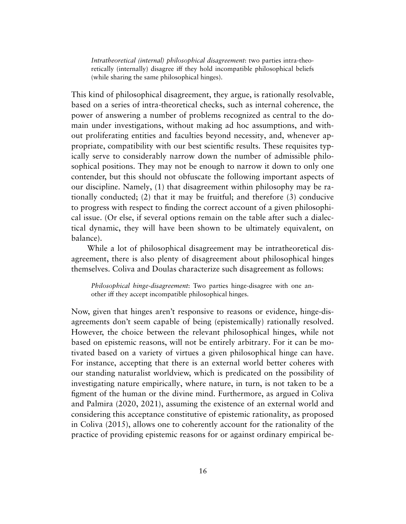*Intratheoretical (internal) philosophical disagreement*: two parties intra-theoretically (internally) disagree iff they hold incompatible philosophical beliefs (while sharing the same philosophical hinges).

This kind of philosophical disagreement, they argue, is rationally resolvable, based on a series of intra-theoretical checks, such as internal coherence, the power of answering a number of problems recognized as central to the domain under investigations, without making ad hoc assumptions, and without proliferating entities and faculties beyond necessity, and, whenever appropriate, compatibility with our best scientific results. These requisites typically serve to considerably narrow down the number of admissible philosophical positions. They may not be enough to narrow it down to only one contender, but this should not obfuscate the following important aspects of our discipline. Namely, (1) that disagreement within philosophy may be rationally conducted; (2) that it may be fruitful; and therefore (3) conducive to progress with respect to finding the correct account of a given philosophical issue. (Or else, if several options remain on the table after such a dialectical dynamic, they will have been shown to be ultimately equivalent, on balance).

While a lot of philosophical disagreement may be intratheoretical disagreement, there is also plenty of disagreement about philosophical hinges themselves. Coliva and Doulas characterize such disagreement as follows:

*Philosophical hinge-disagreement*: Two parties hinge-disagree with one another iff they accept incompatible philosophical hinges.

Now, given that hinges aren't responsive to reasons or evidence, hinge-disagreements don't seem capable of being (epistemically) rationally resolved. However, the choice between the relevant philosophical hinges, while not based on epistemic reasons, will not be entirely arbitrary. For it can be motivated based on a variety of virtues a given philosophical hinge can have. For instance, accepting that there is an external world better coheres with our standing naturalist worldview, which is predicated on the possibility of investigating nature empirically, where nature, in turn, is not taken to be a figment of the human or the divine mind. Furthermore, as argued in Coliva and Palmira (2020, 2021), assuming the existence of an external world and considering this acceptance constitutive of epistemic rationality, as proposed in Coliva (2015), allows one to coherently account for the rationality of the practice of providing epistemic reasons for or against ordinary empirical be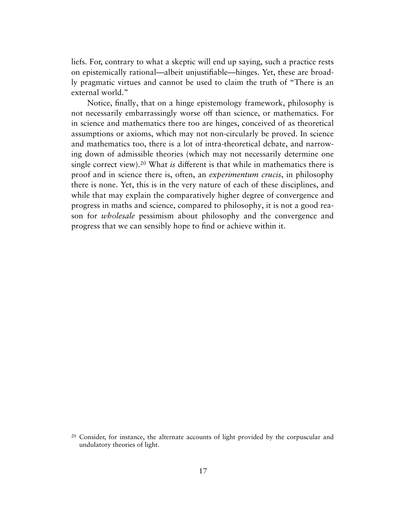liefs. For, contrary to what a skeptic will end up saying, such a practice rests on epistemically rational—albeit unjustifiable—hinges. Yet, these are broadly pragmatic virtues and cannot be used to claim the truth of "There is an external world."

Notice, finally, that on a hinge epistemology framework, philosophy is not necessarily embarrassingly worse off than science, or mathematics. For in science and mathematics there too are hinges, conceived of as theoretical assumptions or axioms, which may not non-circularly be proved. In science and mathematics too, there is a lot of intra-theoretical debate, and narrowing down of admissible theories (which may not necessarily determine one single correct view).[20](#page-16-0) What *is* different is that while in mathematics there is proof and in science there is, often, an *experimentum crucis*, in philosophy there is none. Yet, this is in the very nature of each of these disciplines, and while that may explain the comparatively higher degree of convergence and progress in maths and science, compared to philosophy, it is not a good reason for *wholesale* pessimism about philosophy and the convergence and progress that we can sensibly hope to find or achieve within it.

<span id="page-16-0"></span><sup>20</sup> Consider, for instance, the alternate accounts of light provided by the corpuscular and undulatory theories of light.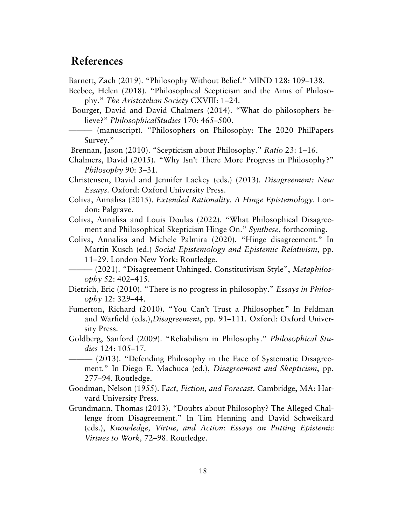## **References**

Barnett, Zach (2019). "Philosophy Without Belief." MIND 128: 109–138.

- Beebee, Helen (2018). "Philosophical Scepticism and the Aims of Philosophy." *The Aristotelian Society* CXVIII: 1–24.
- Bourget, David and David Chalmers (2014). "What do philosophers believe?" *PhilosophicalStudies* 170: 465–500.
- ——— (manuscript). "Philosophers on Philosophy: The 2020 PhilPapers Survey."
- Brennan, Jason (2010). "Scepticism about Philosophy." *Ratio* 23: 1–16.
- Chalmers, David (2015). "Why Isn't There More Progress in Philosophy?" *Philosophy* 90: 3–31.
- Christensen, David and Jennifer Lackey (eds.) (2013). *Disagreement: New Essays*. Oxford: Oxford University Press.
- Coliva, Annalisa (2015). *Extended Rationality. A Hinge Epistemology*. London: Palgrave.
- Coliva, Annalisa and Louis Doulas (2022). "What Philosophical Disagreement and Philosophical Skepticism Hinge On." *Synthese*, forthcoming.
- Coliva, Annalisa and Michele Palmira (2020). "Hinge disagreement." In Martin Kusch (ed.) *Social Epistemology and Epistemic Relativism*, pp. 11–29. London-New York: Routledge.

- Dietrich, Eric (2010). "There is no progress in philosophy." *Essays in Philosophy* 12: 329–44.
- Fumerton, Richard (2010). "You Can't Trust a Philosopher." In Feldman and Warfield (eds.),*Disagreement*, pp. 91–111. Oxford: Oxford University Press.
- Goldberg, Sanford (2009). "Reliabilism in Philosophy." *Philosophical Studies* 124: 105–17.
- ——— (2013). "Defending Philosophy in the Face of Systematic Disagreement." In Diego E. Machuca (ed.), *Disagreement and Skepticism*, pp. 277–94. Routledge.
- Goodman, Nelson (1955). F*act, Fiction, and Forecast*. Cambridge, MA: Harvard University Press.
- Grundmann, Thomas (2013). "Doubts about Philosophy? The Alleged Challenge from Disagreement." In Tim Henning and David Schweikard (eds.), *Knowledge, Virtue, and Action: Essays on Putting Epistemic Virtues to Work,* 72–98. Routledge.

 $-$  (2021). "Disagreement Unhinged, Constitutivism Style", *Metaphilosophy* 52: 402–415.